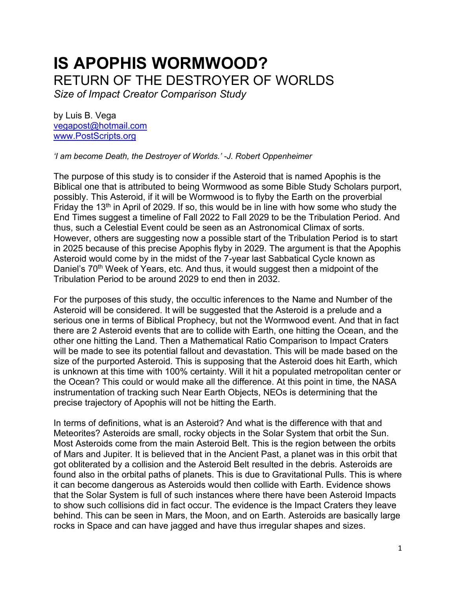# **IS APOPHIS WORMWOOD?** RETURN OF THE DESTROYER OF WORLDS

*Size of Impact Creator Comparison Study*

by Luis B. Vega [vegapost@hotmail.com](mailto:vegapost@hotmail.com) [www.PostScripts.org](http://www.postscripts.org/)

*'I am become Death, the Destroyer of Worlds.' -J. Robert Oppenheimer*

The purpose of this study is to consider if the Asteroid that is named Apophis is the Biblical one that is attributed to being Wormwood as some Bible Study Scholars purport, possibly. This Asteroid, if it will be Wormwood is to flyby the Earth on the proverbial Friday the 13<sup>th</sup> in April of 2029. If so, this would be in line with how some who study the End Times suggest a timeline of Fall 2022 to Fall 2029 to be the Tribulation Period. And thus, such a Celestial Event could be seen as an Astronomical Climax of sorts. However, others are suggesting now a possible start of the Tribulation Period is to start in 2025 because of this precise Apophis flyby in 2029. The argument is that the Apophis Asteroid would come by in the midst of the 7-year last Sabbatical Cycle known as Daniel's 70<sup>th</sup> Week of Years, etc. And thus, it would suggest then a midpoint of the Tribulation Period to be around 2029 to end then in 2032.

For the purposes of this study, the occultic inferences to the Name and Number of the Asteroid will be considered. It will be suggested that the Asteroid is a prelude and a serious one in terms of Biblical Prophecy, but not the Wormwood event. And that in fact there are 2 Asteroid events that are to collide with Earth, one hitting the Ocean, and the other one hitting the Land. Then a Mathematical Ratio Comparison to Impact Craters will be made to see its potential fallout and devastation. This will be made based on the size of the purported Asteroid. This is supposing that the Asteroid does hit Earth, which is unknown at this time with 100% certainty. Will it hit a populated metropolitan center or the Ocean? This could or would make all the difference. At this point in time, the NASA instrumentation of tracking such Near Earth Objects, NEOs is determining that the precise trajectory of Apophis will not be hitting the Earth.

In terms of definitions, what is an Asteroid? And what is the difference with that and Meteorites? Asteroids are small, rocky objects in the Solar System that orbit the Sun. Most Asteroids come from the main Asteroid Belt. This is the region between the orbits of Mars and Jupiter. It is believed that in the Ancient Past, a planet was in this orbit that got obliterated by a collision and the Asteroid Belt resulted in the debris. Asteroids are found also in the orbital paths of planets. This is due to Gravitational Pulls. This is where it can become dangerous as Asteroids would then collide with Earth. Evidence shows that the Solar System is full of such instances where there have been Asteroid Impacts to show such collisions did in fact occur. The evidence is the Impact Craters they leave behind. This can be seen in Mars, the Moon, and on Earth. Asteroids are basically large rocks in Space and can have jagged and have thus irregular shapes and sizes.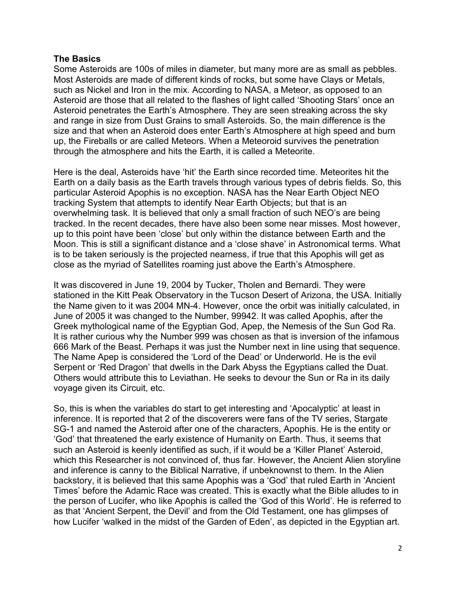# **The Basics**

Some Asteroids are 100s of miles in diameter, but many more are as small as pebbles. Most Asteroids are made of different kinds of rocks, but some have Clays or Metals, such as Nickel and Iron in the mix. According to NASA, a Meteor, as opposed to an Asteroid are those that all related to the flashes of light called 'Shooting Stars' once an Asteroid penetrates the Earth's Atmosphere. They are seen streaking across the sky and range in size from Dust Grains to small Asteroids. So, the main difference is the size and that when an Asteroid does enter Earth's Atmosphere at high speed and burn up, the Fireballs or are called Meteors. When a Meteoroid survives the penetration through the atmosphere and hits the Earth, it is called a Meteorite.

Here is the deal, Asteroids have 'hit' the Earth since recorded time. Meteorites hit the Earth on a daily basis as the Earth travels through various types of debris fields. So, this particular Asteroid Apophis is no exception. NASA has the Near Earth Object NEO tracking System that attempts to identify Near Earth Objects; but that is an overwhelming task. It is believed that only a small fraction of such NEO's are being tracked. In the recent decades, there have also been some near misses. Most however, up to this point have been 'close' but only within the distance between Earth and the Moon. This is still a significant distance and a 'close shave' in Astronomical terms. What is to be taken seriously is the projected nearness, if true that this Apophis will get as close as the myriad of Satellites roaming just above the Earth's Atmosphere.

It was discovered in June 19, 2004 by Tucker, Tholen and Bernardi. They were stationed in the Kitt Peak Observatory in the Tucson Desert of Arizona, the USA. Initially the Name given to it was 2004 MN-4. However, once the orbit was initially calculated, in June of 2005 it was changed to the Number, 99942. It was called Apophis, after the Greek mythological name of the Egyptian God, Apep, the Nemesis of the Sun God Ra. It is rather curious why the Number 999 was chosen as that is inversion of the infamous 666 Mark of the Beast. Perhaps it was just the Number next in line using that sequence. The Name Apep is considered the 'Lord of the Dead' or Underworld. He is the evil Serpent or 'Red Dragon' that dwells in the Dark Abyss the Egyptians called the Duat. Others would attribute this to Leviathan. He seeks to devour the Sun or Ra in its daily voyage given its Circuit, etc.

So, this is when the variables do start to get interesting and 'Apocalyptic' at least in inference. It is reported that 2 of the discoverers were fans of the TV series, Stargate SG-1 and named the Asteroid after one of the characters, Apophis. He is the entity or 'God' that threatened the early existence of Humanity on Earth. Thus, it seems that such an Asteroid is keenly identified as such, if it would be a 'Killer Planet' Asteroid, which this Researcher is not convinced of, thus far. However, the Ancient Alien storyline and inference is canny to the Biblical Narrative, if unbeknownst to them. In the Alien backstory, it is believed that this same Apophis was a 'God' that ruled Earth in 'Ancient Times' before the Adamic Race was created. This is exactly what the Bible alludes to in the person of Lucifer, who like Apophis is called the 'God of this World'. He is referred to as that 'Ancient Serpent, the Devil' and from the Old Testament, one has glimpses of how Lucifer 'walked in the midst of the Garden of Eden', as depicted in the Egyptian art.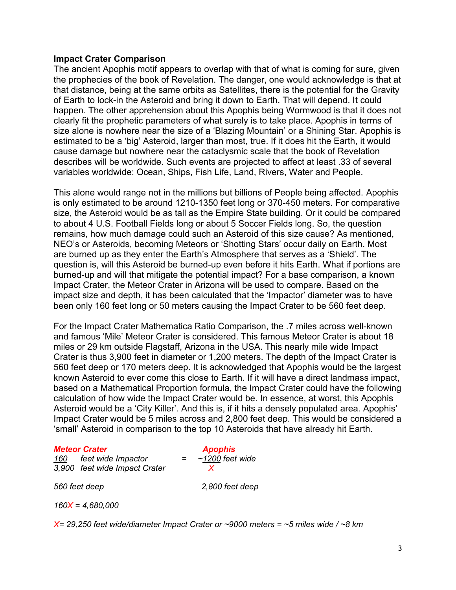## **Impact Crater Comparison**

The ancient Apophis motif appears to overlap with that of what is coming for sure, given the prophecies of the book of Revelation. The danger, one would acknowledge is that at that distance, being at the same orbits as Satellites, there is the potential for the Gravity of Earth to lock-in the Asteroid and bring it down to Earth. That will depend. It could happen. The other apprehension about this Apophis being Wormwood is that it does not clearly fit the prophetic parameters of what surely is to take place. Apophis in terms of size alone is nowhere near the size of a 'Blazing Mountain' or a Shining Star. Apophis is estimated to be a 'big' Asteroid, larger than most, true. If it does hit the Earth, it would cause damage but nowhere near the cataclysmic scale that the book of Revelation describes will be worldwide. Such events are projected to affect at least .33 of several variables worldwide: Ocean, Ships, Fish Life, Land, Rivers, Water and People.

This alone would range not in the millions but billions of People being affected. Apophis is only estimated to be around 1210-1350 feet long or 370-450 meters. For comparative size, the Asteroid would be as tall as the Empire State building. Or it could be compared to about 4 U.S. Football Fields long or about 5 Soccer Fields long. So, the question remains, how much damage could such an Asteroid of this size cause? As mentioned, NEO's or Asteroids, becoming Meteors or 'Shotting Stars' occur daily on Earth. Most are burned up as they enter the Earth's Atmosphere that serves as a 'Shield'. The question is, will this Asteroid be burned-up even before it hits Earth. What if portions are burned-up and will that mitigate the potential impact? For a base comparison, a known Impact Crater, the Meteor Crater in Arizona will be used to compare. Based on the impact size and depth, it has been calculated that the 'Impactor' diameter was to have been only 160 feet long or 50 meters causing the Impact Crater to be 560 feet deep.

For the Impact Crater Mathematica Ratio Comparison, the .7 miles across well-known and famous 'Mile' Meteor Crater is considered. This famous Meteor Crater is about 18 miles or 29 km outside Flagstaff, Arizona in the USA. This nearly mile wide Impact Crater is thus 3,900 feet in diameter or 1,200 meters. The depth of the Impact Crater is 560 feet deep or 170 meters deep. It is acknowledged that Apophis would be the largest known Asteroid to ever come this close to Earth. If it will have a direct landmass impact, based on a Mathematical Proportion formula, the Impact Crater could have the following calculation of how wide the Impact Crater would be. In essence, at worst, this Apophis Asteroid would be a 'City Killer'. And this is, if it hits a densely populated area. Apophis' Impact Crater would be 5 miles across and 2,800 feet deep. This would be considered a 'small' Asteroid in comparison to the top 10 Asteroids that have already hit Earth.

#### *Meteor Crater Apophis*

*160 feet wide Impactor = ~1200 feet wide* 3,900 feet wide Impact Crater

*560 feet deep 2,800 feet deep*

*160X = 4,680,000*

*X= 29,250 feet wide/diameter Impact Crater or ~9000 meters = ~5 miles wide / ~8 km*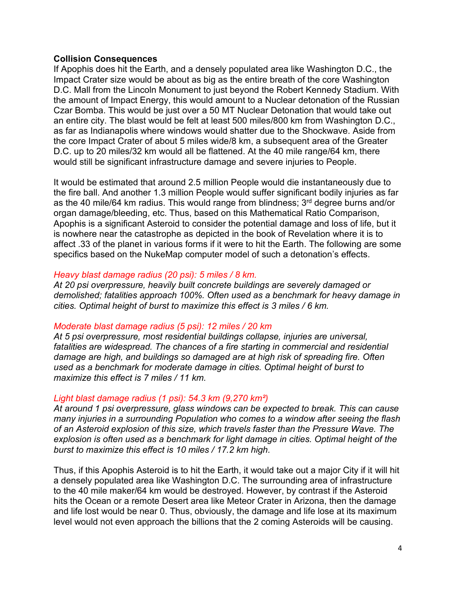## **Collision Consequences**

If Apophis does hit the Earth, and a densely populated area like Washington D.C., the Impact Crater size would be about as big as the entire breath of the core Washington D.C. Mall from the Lincoln Monument to just beyond the Robert Kennedy Stadium. With the amount of Impact Energy, this would amount to a Nuclear detonation of the Russian Czar Bomba. This would be just over a 50 MT Nuclear Detonation that would take out an entire city. The blast would be felt at least 500 miles/800 km from Washington D.C., as far as Indianapolis where windows would shatter due to the Shockwave. Aside from the core Impact Crater of about 5 miles wide/8 km, a subsequent area of the Greater D.C. up to 20 miles/32 km would all be flattened. At the 40 mile range/64 km, there would still be significant infrastructure damage and severe injuries to People.

It would be estimated that around 2.5 million People would die instantaneously due to the fire ball. And another 1.3 million People would suffer significant bodily injuries as far as the 40 mile/64 km radius. This would range from blindness; 3<sup>rd</sup> degree burns and/or organ damage/bleeding, etc. Thus, based on this Mathematical Ratio Comparison, Apophis is a significant Asteroid to consider the potential damage and loss of life, but it is nowhere near the catastrophe as depicted in the book of Revelation where it is to affect .33 of the planet in various forms if it were to hit the Earth. The following are some specifics based on the NukeMap computer model of such a detonation's effects.

# *Heavy blast damage radius (20 psi): 5 miles / 8 km.*

*At 20 psi overpressure, heavily built concrete buildings are severely damaged or demolished; fatalities approach 100%. Often used as a benchmark for heavy damage in cities. Optimal height of burst to maximize this effect is 3 miles / 6 km.*

## *Moderate blast damage radius (5 psi): 12 miles / 20 km*

*At 5 psi overpressure, most residential buildings collapse, injuries are universal,*  fatalities are widespread. The chances of a fire starting in commercial and residential *damage are high, and buildings so damaged are at high risk of spreading fire. Often used as a benchmark for moderate damage in cities. Optimal height of burst to maximize this effect is 7 miles / 11 km.*

## *Light blast damage radius (1 psi): 54.3 km (9,270 km²)*

*At around 1 psi overpressure, glass windows can be expected to break. This can cause many injuries in a surrounding Population who comes to a window after seeing the flash of an Asteroid explosion of this size, which travels faster than the Pressure Wave. The explosion is often used as a benchmark for light damage in cities. Optimal height of the burst to maximize this effect is 10 miles / 17.2 km high.*

Thus, if this Apophis Asteroid is to hit the Earth, it would take out a major City if it will hit a densely populated area like Washington D.C. The surrounding area of infrastructure to the 40 mile maker/64 km would be destroyed. However, by contrast if the Asteroid hits the Ocean or a remote Desert area like Meteor Crater in Arizona, then the damage and life lost would be near 0. Thus, obviously, the damage and life lose at its maximum level would not even approach the billions that the 2 coming Asteroids will be causing.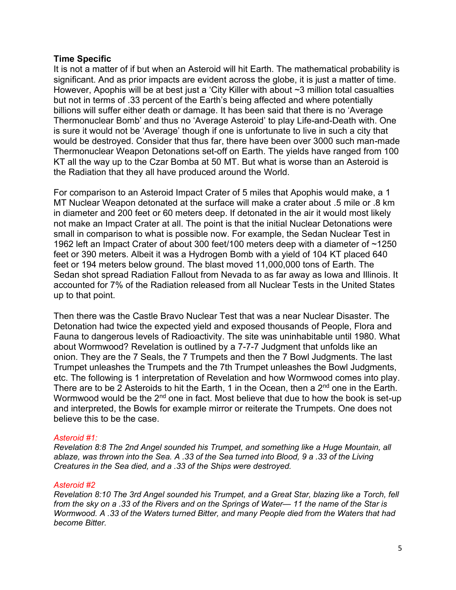# **Time Specific**

It is not a matter of if but when an Asteroid will hit Earth. The mathematical probability is significant. And as prior impacts are evident across the globe, it is just a matter of time. However, Apophis will be at best just a 'City Killer with about ~3 million total casualties but not in terms of .33 percent of the Earth's being affected and where potentially billions will suffer either death or damage. It has been said that there is no 'Average Thermonuclear Bomb' and thus no 'Average Asteroid' to play Life-and-Death with. One is sure it would not be 'Average' though if one is unfortunate to live in such a city that would be destroyed. Consider that thus far, there have been over 3000 such man-made Thermonuclear Weapon Detonations set-off on Earth. The yields have ranged from 100 KT all the way up to the Czar Bomba at 50 MT. But what is worse than an Asteroid is the Radiation that they all have produced around the World.

For comparison to an Asteroid Impact Crater of 5 miles that Apophis would make, a 1 MT Nuclear Weapon detonated at the surface will make a crater about .5 mile or .8 km in diameter and 200 feet or 60 meters deep. If detonated in the air it would most likely not make an Impact Crater at all. The point is that the initial Nuclear Detonations were small in comparison to what is possible now. For example, the Sedan Nuclear Test in 1962 left an Impact Crater of about 300 feet/100 meters deep with a diameter of ~1250 feet or 390 meters. Albeit it was a Hydrogen Bomb with a yield of 104 KT placed 640 feet or 194 meters below ground. The blast moved 11,000,000 tons of Earth. The Sedan shot spread Radiation Fallout from Nevada to as far away as Iowa and Illinois. It accounted for 7% of the Radiation released from all Nuclear Tests in the United States up to that point.

Then there was the Castle Bravo Nuclear Test that was a near Nuclear Disaster. The Detonation had twice the expected yield and exposed thousands of People, Flora and Fauna to dangerous levels of Radioactivity. The site was uninhabitable until 1980. What about Wormwood? Revelation is outlined by a 7-7-7 Judgment that unfolds like an onion. They are the 7 Seals, the 7 Trumpets and then the 7 Bowl Judgments. The last Trumpet unleashes the Trumpets and the 7th Trumpet unleashes the Bowl Judgments, etc. The following is 1 interpretation of Revelation and how Wormwood comes into play. There are to be 2 Asteroids to hit the Earth, 1 in the Ocean, then a 2<sup>nd</sup> one in the Earth. Wormwood would be the  $2<sup>nd</sup>$  one in fact. Most believe that due to how the book is set-up and interpreted, the Bowls for example mirror or reiterate the Trumpets. One does not believe this to be the case.

## *Asteroid #1:*

*Revelation 8:8 The 2nd Angel sounded his Trumpet, and something like a Huge Mountain, all ablaze, was thrown into the Sea. A .33 of the Sea turned into Blood, 9 a .33 of the Living Creatures in the Sea died, and a .33 of the Ships were destroyed.*

#### *Asteroid #2*

*Revelation 8:10 The 3rd Angel sounded his Trumpet, and a Great Star, blazing like a Torch, fell from the sky on a .33 of the Rivers and on the Springs of Water— 11 the name of the Star is Wormwood. A .33 of the Waters turned Bitter, and many People died from the Waters that had become Bitter.*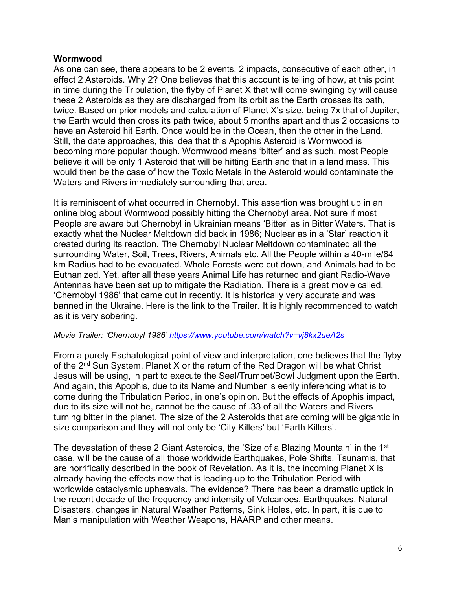# **Wormwood**

As one can see, there appears to be 2 events, 2 impacts, consecutive of each other, in effect 2 Asteroids. Why 2? One believes that this account is telling of how, at this point in time during the Tribulation, the flyby of Planet X that will come swinging by will cause these 2 Asteroids as they are discharged from its orbit as the Earth crosses its path, twice. Based on prior models and calculation of Planet X's size, being 7x that of Jupiter, the Earth would then cross its path twice, about 5 months apart and thus 2 occasions to have an Asteroid hit Earth. Once would be in the Ocean, then the other in the Land. Still, the date approaches, this idea that this Apophis Asteroid is Wormwood is becoming more popular though. Wormwood means 'bitter' and as such, most People believe it will be only 1 Asteroid that will be hitting Earth and that in a land mass. This would then be the case of how the Toxic Metals in the Asteroid would contaminate the Waters and Rivers immediately surrounding that area.

It is reminiscent of what occurred in Chernobyl. This assertion was brought up in an online blog about Wormwood possibly hitting the Chernobyl area. Not sure if most People are aware but Chernobyl in Ukrainian means 'Bitter' as in Bitter Waters. That is exactly what the Nuclear Meltdown did back in 1986; Nuclear as in a 'Star' reaction it created during its reaction. The Chernobyl Nuclear Meltdown contaminated all the surrounding Water, Soil, Trees, Rivers, Animals etc. All the People within a 40-mile/64 km Radius had to be evacuated. Whole Forests were cut down, and Animals had to be Euthanized. Yet, after all these years Animal Life has returned and giant Radio-Wave Antennas have been set up to mitigate the Radiation. There is a great movie called, 'Chernobyl 1986' that came out in recently. It is historically very accurate and was banned in the Ukraine. Here is the link to the Trailer. It is highly recommended to watch as it is very sobering.

## *Movie Trailer: 'Chernobyl 1986' <https://www.youtube.com/watch?v=vj8kx2ueA2s>*

From a purely Eschatological point of view and interpretation, one believes that the flyby of the 2<sup>nd</sup> Sun System, Planet X or the return of the Red Dragon will be what Christ Jesus will be using, in part to execute the Seal/Trumpet/Bowl Judgment upon the Earth. And again, this Apophis, due to its Name and Number is eerily inferencing what is to come during the Tribulation Period, in one's opinion. But the effects of Apophis impact, due to its size will not be, cannot be the cause of .33 of all the Waters and Rivers turning bitter in the planet. The size of the 2 Asteroids that are coming will be gigantic in size comparison and they will not only be 'City Killers' but 'Earth Killers'.

The devastation of these 2 Giant Asteroids, the 'Size of a Blazing Mountain' in the 1<sup>st</sup> case, will be the cause of all those worldwide Earthquakes, Pole Shifts, Tsunamis, that are horrifically described in the book of Revelation. As it is, the incoming Planet X is already having the effects now that is leading-up to the Tribulation Period with worldwide cataclysmic upheavals. The evidence? There has been a dramatic uptick in the recent decade of the frequency and intensity of Volcanoes, Earthquakes, Natural Disasters, changes in Natural Weather Patterns, Sink Holes, etc. In part, it is due to Man's manipulation with Weather Weapons, HAARP and other means.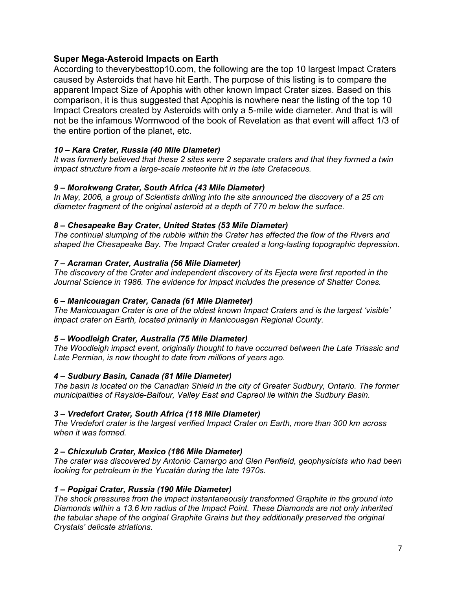# **Super Mega-Asteroid Impacts on Earth**

According to theverybesttop10.com, the following are the top 10 largest Impact Craters caused by Asteroids that have hit Earth. The purpose of this listing is to compare the apparent Impact Size of Apophis with other known Impact Crater sizes. Based on this comparison, it is thus suggested that Apophis is nowhere near the listing of the top 10 Impact Creators created by Asteroids with only a 5-mile wide diameter. And that is will not be the infamous Wormwood of the book of Revelation as that event will affect 1/3 of the entire portion of the planet, etc.

## *10 – Kara Crater, Russia (40 Mile Diameter)*

*It was formerly believed that these 2 sites were 2 separate craters and that they formed a twin impact structure from a large-scale meteorite hit in the late Cretaceous.*

#### *9 – Morokweng Crater, South Africa (43 Mile Diameter)*

*In May, 2006, a group of Scientists drilling into the site announced the discovery of a 25 cm diameter fragment of the original asteroid at a depth of 770 m below the surface.*

#### *8 – Chesapeake Bay Crater, United States (53 Mile Diameter)*

*The continual slumping of the rubble within the Crater has affected the flow of the Rivers and shaped the Chesapeake Bay. The Impact Crater created a long-lasting topographic depression.*

#### *7 – Acraman Crater, Australia (56 Mile Diameter)*

*The discovery of the Crater and independent discovery of its Ejecta were first reported in the Journal Science in 1986. The evidence for impact includes the presence of Shatter Cones.*

#### *6 – Manicouagan Crater, Canada (61 Mile Diameter)*

*The Manicouagan Crater is one of the oldest known Impact Craters and is the largest 'visible' impact crater on Earth, located primarily in Manicouagan Regional County.*

#### *5 – Woodleigh Crater, Australia (75 Mile Diameter)*

*The Woodleigh impact event, originally thought to have occurred between the Late Triassic and Late Permian, is now thought to date from millions of years ago.*

#### *4 – Sudbury Basin, Canada (81 Mile Diameter)*

*The basin is located on the Canadian Shield in the city of Greater Sudbury, Ontario. The former municipalities of Rayside-Balfour, Valley East and Capreol lie within the Sudbury Basin.*

#### *3 – Vredefort Crater, South Africa (118 Mile Diameter)*

*The Vredefort crater is the largest verified Impact Crater on Earth, more than 300 km across when it was formed.* 

#### *2 – Chicxulub Crater, Mexico (186 Mile Diameter)*

*The crater was discovered by Antonio Camargo and Glen Penfield, geophysicists who had been looking for petroleum in the Yucatán during the late 1970s.* 

#### *1 – Popigai Crater, Russia (190 Mile Diameter)*

*The shock pressures from the impact instantaneously transformed Graphite in the ground into Diamonds within a 13.6 km radius of the Impact Point. These Diamonds are not only inherited the tabular shape of the original Graphite Grains but they additionally preserved the original Crystals' delicate striations.*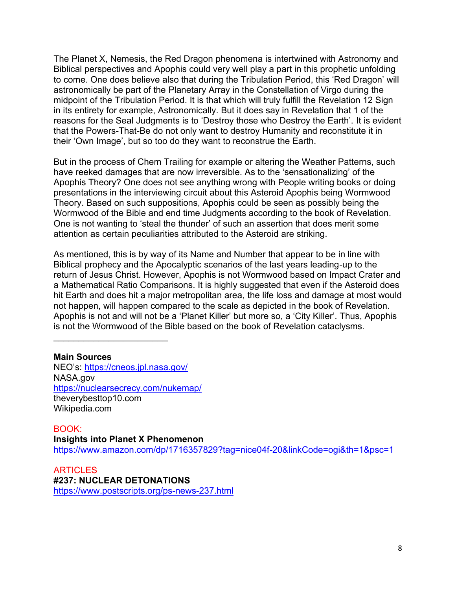The Planet X, Nemesis, the Red Dragon phenomena is intertwined with Astronomy and Biblical perspectives and Apophis could very well play a part in this prophetic unfolding to come. One does believe also that during the Tribulation Period, this 'Red Dragon' will astronomically be part of the Planetary Array in the Constellation of Virgo during the midpoint of the Tribulation Period. It is that which will truly fulfill the Revelation 12 Sign in its entirety for example, Astronomically. But it does say in Revelation that 1 of the reasons for the Seal Judgments is to 'Destroy those who Destroy the Earth'. It is evident that the Powers-That-Be do not only want to destroy Humanity and reconstitute it in their 'Own Image', but so too do they want to reconstrue the Earth.

But in the process of Chem Trailing for example or altering the Weather Patterns, such have reeked damages that are now irreversible. As to the 'sensationalizing' of the Apophis Theory? One does not see anything wrong with People writing books or doing presentations in the interviewing circuit about this Asteroid Apophis being Wormwood Theory. Based on such suppositions, Apophis could be seen as possibly being the Wormwood of the Bible and end time Judgments according to the book of Revelation. One is not wanting to 'steal the thunder' of such an assertion that does merit some attention as certain peculiarities attributed to the Asteroid are striking.

As mentioned, this is by way of its Name and Number that appear to be in line with Biblical prophecy and the Apocalyptic scenarios of the last years leading-up to the return of Jesus Christ. However, Apophis is not Wormwood based on Impact Crater and a Mathematical Ratio Comparisons. It is highly suggested that even if the Asteroid does hit Earth and does hit a major metropolitan area, the life loss and damage at most would not happen, will happen compared to the scale as depicted in the book of Revelation. Apophis is not and will not be a 'Planet Killer' but more so, a 'City Killer'. Thus, Apophis is not the Wormwood of the Bible based on the book of Revelation cataclysms.

**Main Sources** NEO's: <https://cneos.jpl.nasa.gov/> NASA.gov <https://nuclearsecrecy.com/nukemap/> theverybesttop10.com Wikipedia.com

 $\mathcal{L}_\text{max}$  , where  $\mathcal{L}_\text{max}$  , we have the set of the set of the set of the set of the set of the set of the set of the set of the set of the set of the set of the set of the set of the set of the set of the set of

BOOK: **Insights into Planet X Phenomenon**  <https://www.amazon.com/dp/1716357829?tag=nice04f-20&linkCode=ogi&th=1&psc=1>

**ARTICLES #237: NUCLEAR DETONATIONS** <https://www.postscripts.org/ps-news-237.html>